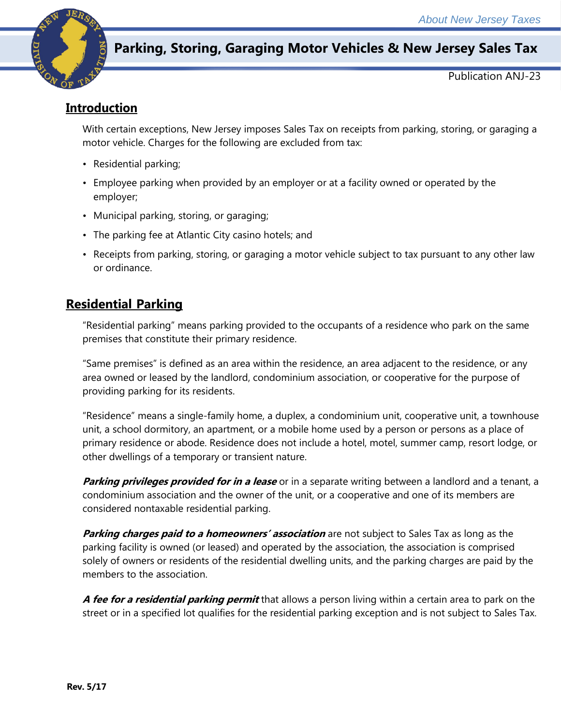

# **Parking, Storing, Garaging Motor Vehicles & New Jersey Sales Tax**

Publication ANJ-23

## **Introduction**

With certain exceptions, New Jersey imposes Sales Tax on receipts from parking, storing, or garaging a motor vehicle. Charges for the following are excluded from tax:

- Residential parking;
- Employee parking when provided by an employer or at a facility owned or operated by the employer;
- Municipal parking, storing, or garaging;
- The parking fee at Atlantic City casino hotels; and
- Receipts from parking, storing, or garaging a motor vehicle subject to tax pursuant to any other law or ordinance.

## **Residential Parking**

"Residential parking" means parking provided to the occupants of a residence who park on the same premises that constitute their primary residence.

"Same premises" is defined as an area within the residence, an area adjacent to the residence, or any area owned or leased by the landlord, condominium association, or cooperative for the purpose of providing parking for its residents.

"Residence" means a single-family home, a duplex, a condominium unit, cooperative unit, a townhouse unit, a school dormitory, an apartment, or a mobile home used by a person or persons as a place of primary residence or abode. Residence does not include a hotel, motel, summer camp, resort lodge, or other dwellings of a temporary or transient nature.

**Parking privileges provided for in a lease** or in a separate writing between a landlord and a tenant, a condominium association and the owner of the unit, or a cooperative and one of its members are considered nontaxable residential parking.

**Parking charges paid to a homeowners' association** are not subject to Sales Tax as long as the parking facility is owned (or leased) and operated by the association, the association is comprised solely of owners or residents of the residential dwelling units, and the parking charges are paid by the members to the association.

**A fee for a residential parking permit** that allows a person living within a certain area to park on the street or in a specified lot qualifies for the residential parking exception and is not subject to Sales Tax.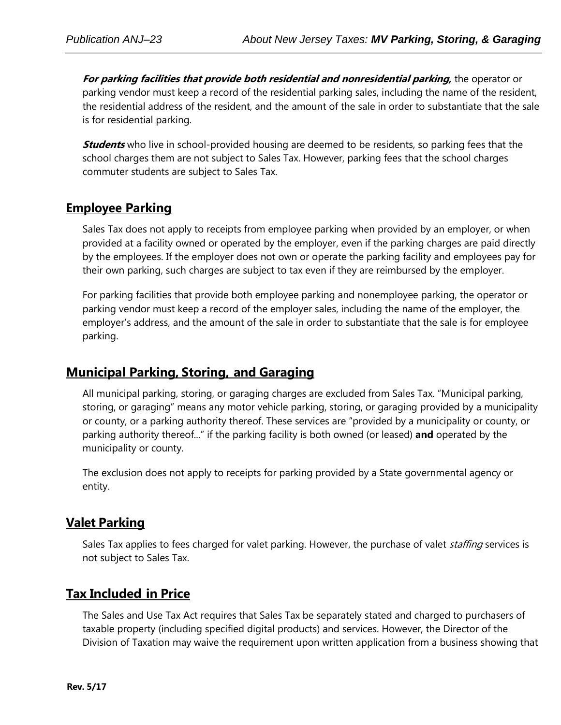**For parking facilities that provide both residential and nonresidential parking,** the operator or parking vendor must keep a record of the residential parking sales, including the name of the resident, the residential address of the resident, and the amount of the sale in order to substantiate that the sale is for residential parking.

**Students** who live in school-provided housing are deemed to be residents, so parking fees that the school charges them are not subject to Sales Tax. However, parking fees that the school charges commuter students are subject to Sales Tax.

## **Employee Parking**

Sales Tax does not apply to receipts from employee parking when provided by an employer, or when provided at a facility owned or operated by the employer, even if the parking charges are paid directly by the employees. If the employer does not own or operate the parking facility and employees pay for their own parking, such charges are subject to tax even if they are reimbursed by the employer.

For parking facilities that provide both employee parking and nonemployee parking, the operator or parking vendor must keep a record of the employer sales, including the name of the employer, the employer's address, and the amount of the sale in order to substantiate that the sale is for employee parking.

#### **Municipal Parking, Storing, and Garaging**

All municipal parking, storing, or garaging charges are excluded from Sales Tax. "Municipal parking, storing, or garaging" means any motor vehicle parking, storing, or garaging provided by a municipality or county, or a parking authority thereof. These services are "provided by a municipality or county, or parking authority thereof..." if the parking facility is both owned (or leased) **and** operated by the municipality or county.

The exclusion does not apply to receipts for parking provided by a State governmental agency or entity.

#### **Valet Parking**

Sales Tax applies to fees charged for valet parking. However, the purchase of valet *staffing* services is not subject to Sales Tax.

## **Tax Included in Price**

The Sales and Use Tax Act requires that Sales Tax be separately stated and charged to purchasers of taxable property (including specified digital products) and services. However, the Director of the Division of Taxation may waive the requirement upon written application from a business showing that